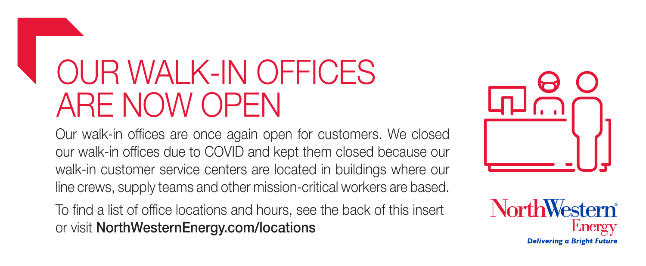### OUR WALK-IN OFFICES ARE NOW OPEN

Our walk-in offices are once again open for customers. We closed our walk-in offices due to COVID and kept them closed because our walk-in customer service centers are located in buildings where our line crews, supply teams and other mission-critical workers are based.

To find a list of office locations and hours, see the back of this insert or visit NorthWesternEnergy.com/locations